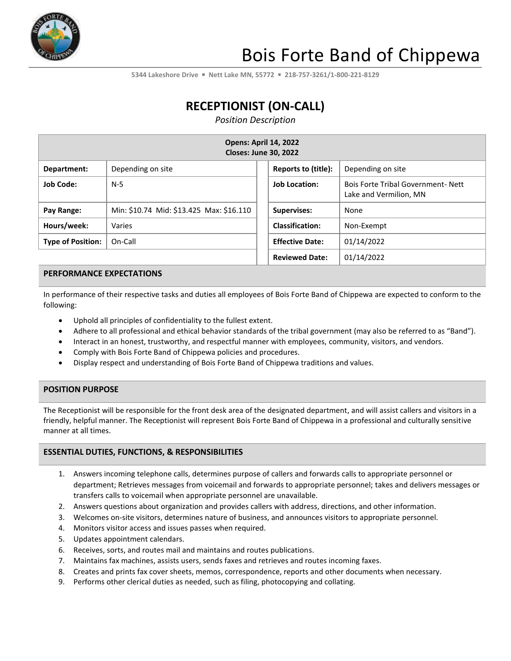

# Bois Forte Band of Chippewa

**5344 Lakeshore Drive** ▪ **Nett Lake MN, 55772** ▪ **218-757-3261/1-800-221-8129**

## **RECEPTIONIST (ON-CALL)**

*Position Description*

| <b>Opens: April 14, 2022</b><br><b>Closes: June 30, 2022</b> |                                          |  |                        |                                                                    |  |
|--------------------------------------------------------------|------------------------------------------|--|------------------------|--------------------------------------------------------------------|--|
| Department:                                                  | Depending on site                        |  | Reports to (title):    | Depending on site                                                  |  |
| <b>Job Code:</b>                                             | $N-5$                                    |  | <b>Job Location:</b>   | <b>Bois Forte Tribal Government-Nett</b><br>Lake and Vermilion, MN |  |
| Pay Range:                                                   | Min: \$10.74 Mid: \$13.425 Max: \$16.110 |  | <b>Supervises:</b>     | None                                                               |  |
| Hours/week:                                                  | Varies                                   |  | <b>Classification:</b> | Non-Exempt                                                         |  |
| <b>Type of Position:</b>                                     | On-Call                                  |  | <b>Effective Date:</b> | 01/14/2022                                                         |  |
|                                                              |                                          |  | <b>Reviewed Date:</b>  | 01/14/2022                                                         |  |

### **PERFORMANCE EXPECTATIONS**

In performance of their respective tasks and duties all employees of Bois Forte Band of Chippewa are expected to conform to the following:

- Uphold all principles of confidentiality to the fullest extent.
- Adhere to all professional and ethical behavior standards of the tribal government (may also be referred to as "Band").
- Interact in an honest, trustworthy, and respectful manner with employees, community, visitors, and vendors.
- Comply with Bois Forte Band of Chippewa policies and procedures.
- Display respect and understanding of Bois Forte Band of Chippewa traditions and values.

### **POSITION PURPOSE**

The Receptionist will be responsible for the front desk area of the designated department, and will assist callers and visitors in a friendly, helpful manner. The Receptionist will represent Bois Forte Band of Chippewa in a professional and culturally sensitive manner at all times.

### **ESSENTIAL DUTIES, FUNCTIONS, & RESPONSIBILITIES**

- 1. Answers incoming telephone calls, determines purpose of callers and forwards calls to appropriate personnel or department; Retrieves messages from voicemail and forwards to appropriate personnel; takes and delivers messages or transfers calls to voicemail when appropriate personnel are unavailable.
- 2. Answers questions about organization and provides callers with address, directions, and other information.
- 3. Welcomes on-site visitors, determines nature of business, and announces visitors to appropriate personnel.
- 4. Monitors visitor access and issues passes when required.
- 5. Updates appointment calendars.
- 6. Receives, sorts, and routes mail and maintains and routes publications.
- 7. Maintains fax machines, assists users, sends faxes and retrieves and routes incoming faxes.
- 8. Creates and prints fax cover sheets, memos, correspondence, reports and other documents when necessary.
- 9. Performs other clerical duties as needed, such as filing, photocopying and collating.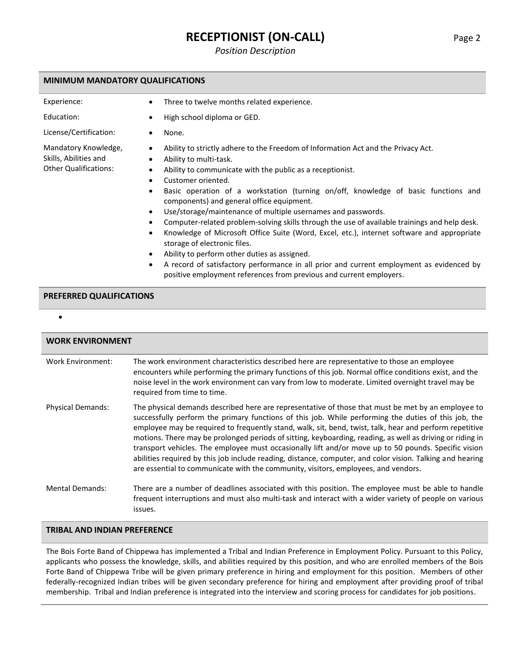### **RECEPTIONIST (ON-CALL)** Page 2

*Position Description*

#### **MINIMUM MANDATORY QUALIFICATIONS**

| Experience: |  |
|-------------|--|
|             |  |

Mandatory Knowledge, Skills, Abilities and Other Qualifications:

Three to twelve months related experience.

Education: • • High school diploma or GED.

- License/Certification: None.
	- Ability to strictly adhere to the Freedom of Information Act and the Privacy Act.
	- Ability to multi-task.
	- Ability to communicate with the public as a receptionist.
	- Customer oriented.
	- Basic operation of a workstation (turning on/off, knowledge of basic functions and components) and general office equipment.
	- Use/storage/maintenance of multiple usernames and passwords.
	- Computer-related problem-solving skills through the use of available trainings and help desk.
	- Knowledge of Microsoft Office Suite (Word, Excel, etc.), internet software and appropriate storage of electronic files.
	- Ability to perform other duties as assigned.
	- A record of satisfactory performance in all prior and current employment as evidenced by positive employment references from previous and current employers.

### **PREFERRED QUALIFICATIONS**

•

| <b>WORK ENVIRONMENT</b>  |                                                                                                                                                                                                                                                                                                                                                                                                                                                                                                                                                                                                                                                                                                                                               |  |  |
|--------------------------|-----------------------------------------------------------------------------------------------------------------------------------------------------------------------------------------------------------------------------------------------------------------------------------------------------------------------------------------------------------------------------------------------------------------------------------------------------------------------------------------------------------------------------------------------------------------------------------------------------------------------------------------------------------------------------------------------------------------------------------------------|--|--|
| Work Environment:        | The work environment characteristics described here are representative to those an employee<br>encounters while performing the primary functions of this job. Normal office conditions exist, and the<br>noise level in the work environment can vary from low to moderate. Limited overnight travel may be<br>required from time to time.                                                                                                                                                                                                                                                                                                                                                                                                    |  |  |
| <b>Physical Demands:</b> | The physical demands described here are representative of those that must be met by an employee to<br>successfully perform the primary functions of this job. While performing the duties of this job, the<br>employee may be required to frequently stand, walk, sit, bend, twist, talk, hear and perform repetitive<br>motions. There may be prolonged periods of sitting, keyboarding, reading, as well as driving or riding in<br>transport vehicles. The employee must occasionally lift and/or move up to 50 pounds. Specific vision<br>abilities required by this job include reading, distance, computer, and color vision. Talking and hearing<br>are essential to communicate with the community, visitors, employees, and vendors. |  |  |
| <b>Mental Demands:</b>   | There are a number of deadlines associated with this position. The employee must be able to handle<br>frequent interruptions and must also multi-task and interact with a wider variety of people on various<br>issues.                                                                                                                                                                                                                                                                                                                                                                                                                                                                                                                       |  |  |

**TRIBAL AND INDIAN PREFERENCE**

The Bois Forte Band of Chippewa has implemented a Tribal and Indian Preference in Employment Policy. Pursuant to this Policy, applicants who possess the knowledge, skills, and abilities required by this position, and who are enrolled members of the Bois Forte Band of Chippewa Tribe will be given primary preference in hiring and employment for this position. Members of other federally-recognized Indian tribes will be given secondary preference for hiring and employment after providing proof of tribal membership. Tribal and Indian preference is integrated into the interview and scoring process for candidates for job positions.